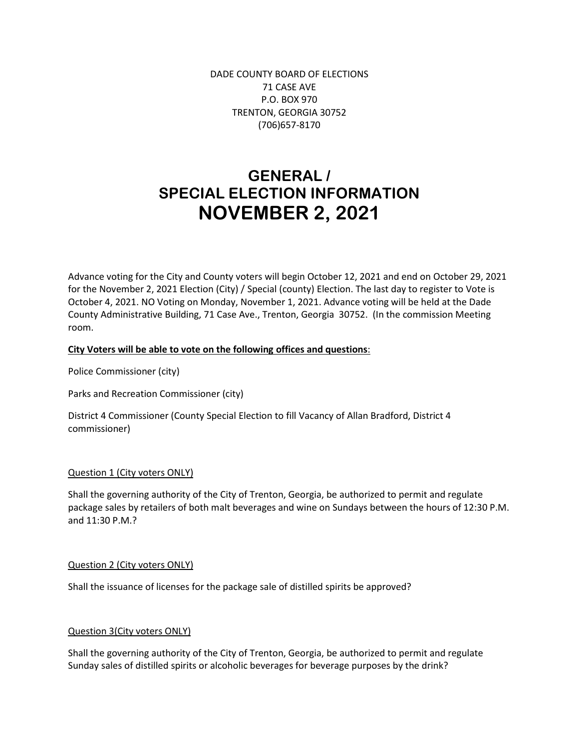DADE COUNTY BOARD OF ELECTIONS 71 CASE AVE P.O. BOX 970 TRENTON, GEORGIA 30752 (706)657-8170

# **GENERAL / SPECIAL ELECTION INFORMATION NOVEMBER 2, 2021**

Advance voting for the City and County voters will begin October 12, 2021 and end on October 29, 2021 for the November 2, 2021 Election (City) / Special (county) Election. The last day to register to Vote is October 4, 2021. NO Voting on Monday, November 1, 2021. Advance voting will be held at the Dade County Administrative Building, 71 Case Ave., Trenton, Georgia 30752. (In the commission Meeting room.

# **City Voters will be able to vote on the following offices and questions**:

Police Commissioner (city)

Parks and Recreation Commissioner (city)

District 4 Commissioner (County Special Election to fill Vacancy of Allan Bradford, District 4 commissioner)

### Question 1 (City voters ONLY)

Shall the governing authority of the City of Trenton, Georgia, be authorized to permit and regulate package sales by retailers of both malt beverages and wine on Sundays between the hours of 12:30 P.M. and 11:30 P.M.?

### Question 2 (City voters ONLY)

Shall the issuance of licenses for the package sale of distilled spirits be approved?

### Question 3(City voters ONLY)

Shall the governing authority of the City of Trenton, Georgia, be authorized to permit and regulate Sunday sales of distilled spirits or alcoholic beverages for beverage purposes by the drink?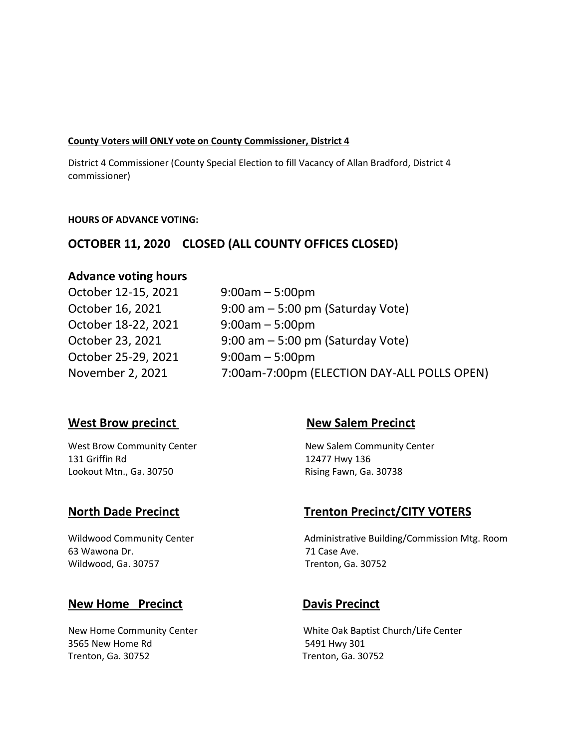### **County Voters will ONLY vote on County Commissioner, District 4**

District 4 Commissioner (County Special Election to fill Vacancy of Allan Bradford, District 4 commissioner)

# **HOURS OF ADVANCE VOTING:**

# **OCTOBER 11, 2020 CLOSED (ALL COUNTY OFFICES CLOSED)**

# **Advance voting hours**

October 12-15, 2021 9:00am – 5:00pm October 18-22, 2021 9:00am – 5:00pm October 25-29, 2021 9:00am – 5:00pm

October 16, 2021 9:00 am – 5:00 pm (Saturday Vote) October 23, 2021 9:00 am – 5:00 pm (Saturday Vote) November 2, 2021 7:00am-7:00pm (ELECTION DAY-ALL POLLS OPEN)

# **West Brow precinct** New Salem Precinct

131 Griffin Rd 12477 Hwy 136 Lookout Mtn., Ga. 30750 **Rising Fawn, Ga. 30738** 

West Brow Community Center New Salem Community Center

63 Wawona Dr. 2008 - 2008 - 2010 12:30 2010 12:30 2010 12:30 2010 12:30 2010 12:30 2010 12:30 2010 12:30 2010 Wildwood, Ga. 30757 Trenton, Ga. 30752

# **New Home Precinct Davis Precinct**

3565 New Home Rd 5491 Hwy 301 Trenton, Ga. 30752 Trenton, Ga. 30752

# **North Dade Precinct Trenton Precinct/CITY VOTERS**

Wildwood Community Center **Administrative Building/Commission Mtg. Room** 

New Home Community Center White Oak Baptist Church/Life Center